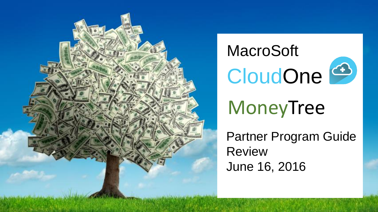

# MacroSoft CloudOne<sup>4</sup>

## MoneyTree

Partner Program Guide Review June 16, 2016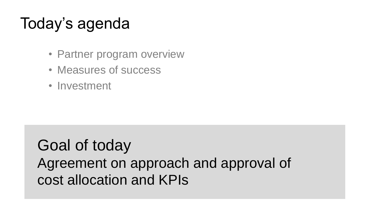## Today's agenda

- Partner program overview
- Measures of success
- Investment

Goal of today Agreement on approach and approval of cost allocation and KPIs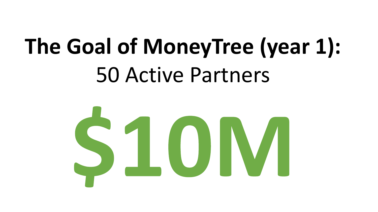# **The Goal of MoneyTree (year 1):** 50 Active Partners

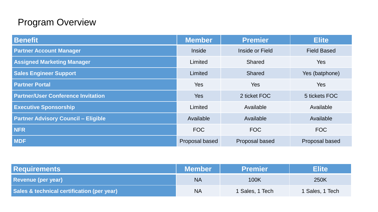#### Program Overview

| <b>Benefit</b>                             | <b>Member</b>  | <b>Premier</b>  | <b>Elite</b>       |  |
|--------------------------------------------|----------------|-----------------|--------------------|--|
| <b>Partner Account Manager</b>             | <b>Inside</b>  | Inside or Field | <b>Field Based</b> |  |
| <b>Assigned Marketing Manager</b>          | Limited        | Shared          | <b>Yes</b>         |  |
| <b>Sales Engineer Support</b>              | Limited        | Shared          | Yes (batphone)     |  |
| <b>Partner Portal</b>                      | <b>Yes</b>     | <b>Yes</b>      | <b>Yes</b>         |  |
| <b>Partner/User Conference Invitation</b>  | <b>Yes</b>     | 2 ticket FOC    | 5 tickets FOC      |  |
| <b>Executive Sponsorship</b>               | Limited        | Available       | Available          |  |
| <b>Partner Advisory Council - Eligible</b> | Available      | Available       | Available          |  |
| <b>NFR</b>                                 | <b>FOC</b>     | <b>FOC</b>      | <b>FOC</b>         |  |
| <b>MDF</b>                                 | Proposal based | Proposal based  | Proposal based     |  |

| <b>Requirements</b>                        | <b>Member</b> | <b>Premier</b>  | <b>Elite</b>    |
|--------------------------------------------|---------------|-----------------|-----------------|
| <b>Revenue (per year)</b>                  | <b>NA</b>     | 100K            | 250K            |
| Sales & technical certification (per year) | <b>NA</b>     | 1 Sales, 1 Tech | 1 Sales, 1 Tech |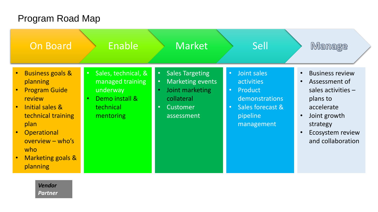#### Program Road Map

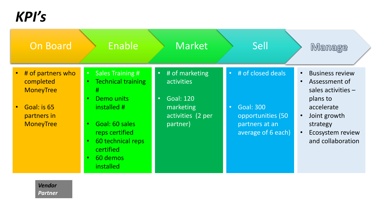*KPI's*

| <b>On Board</b>                                                                                      | Enable                                                                                                                                                                                                                                                          | Market                                                                                                                   | Sell                                                                                                                         | <b>Manage</b>                                                                                                                                                                                         |
|------------------------------------------------------------------------------------------------------|-----------------------------------------------------------------------------------------------------------------------------------------------------------------------------------------------------------------------------------------------------------------|--------------------------------------------------------------------------------------------------------------------------|------------------------------------------------------------------------------------------------------------------------------|-------------------------------------------------------------------------------------------------------------------------------------------------------------------------------------------------------|
| # of partners who<br>completed<br><b>MoneyTree</b><br>Goal: is 65<br>partners in<br><b>MoneyTree</b> | <b>Sales Training #</b><br>$\bullet$ .<br><b>Technical training</b><br>#<br>Demo units<br>$\bullet$<br>installed #<br>Goal: 60 sales<br>$\bullet$<br>reps certified<br>60 technical reps<br>$\bullet$<br>certified<br>60 demos<br>$\bullet$<br><i>installed</i> | # of marketing<br>$\bullet$<br>activities<br><b>Goal: 120</b><br>$\bullet$<br>marketing<br>activities (2 per<br>partner) | # of closed deals<br>$\bullet$<br><b>Goal: 300</b><br>$\bullet$<br>opportunities (50<br>partners at an<br>average of 6 each) | <b>Business review</b><br>$\bullet$<br>Assessment of<br>sales activities $-$<br>plans to<br>accelerate<br>Joint growth<br>$\bullet$<br>strategy<br>Ecosystem review<br>$\bullet$<br>and collaboration |
| <b>Vendor</b><br><b>Partner</b>                                                                      |                                                                                                                                                                                                                                                                 |                                                                                                                          |                                                                                                                              |                                                                                                                                                                                                       |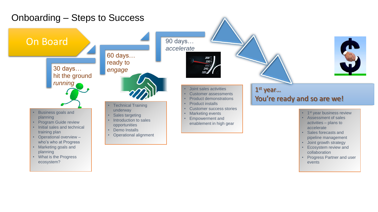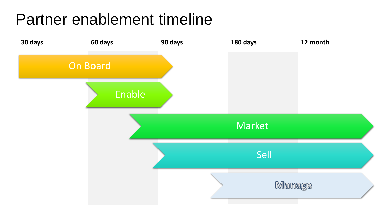## Partner enablement timeline

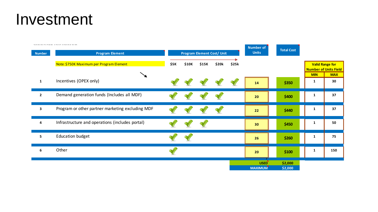### Investment

| <b>Number</b>  | waaana ka ka ahaan a waxa wax<br><b>Program Element</b> |      |       | <b>Program Element Cost/ Unit</b> |       |       | <b>Number of</b><br><b>Units</b>    | <b>Total Cost</b>  |                 |                                                 |
|----------------|---------------------------------------------------------|------|-------|-----------------------------------|-------|-------|-------------------------------------|--------------------|-----------------|-------------------------------------------------|
|                | Note: \$750K Maximum per Program Element                | \$5K | \$10K | \$15K                             | \$20k | \$25k |                                     |                    |                 | <b>Valid Range for</b><br>Number of Units Field |
| $\mathbf{1}$   | Incentives (OPEX only)                                  |      |       |                                   |       |       | 14                                  | \$350              | <b>MIN</b><br>1 | <b>MAX</b><br>30                                |
| $\overline{2}$ | Demand generation funds (Includes all MDF)              |      |       |                                   |       |       | 20                                  | \$400              | 1               | 37                                              |
| 3              | Program or other partner marketing excluding MDF        |      |       |                                   |       |       | 22                                  | \$440              | $\mathbf{1}$    | 37                                              |
| 4              | Infrastructure and operations (includes portal)         |      |       |                                   |       |       | 30 <sub>o</sub>                     | \$450              | 1               | 50                                              |
| 5              | <b>Education budget</b>                                 |      |       |                                   |       |       | 26                                  | \$260              | $\mathbf{1}$    | 75                                              |
| 6              | Other                                                   |      |       |                                   |       |       | 20                                  | \$100              | 1               | 150                                             |
|                |                                                         |      |       |                                   |       |       | USED <sup>'</sup><br><b>MAXIMUM</b> | \$2,000<br>\$2,000 |                 |                                                 |